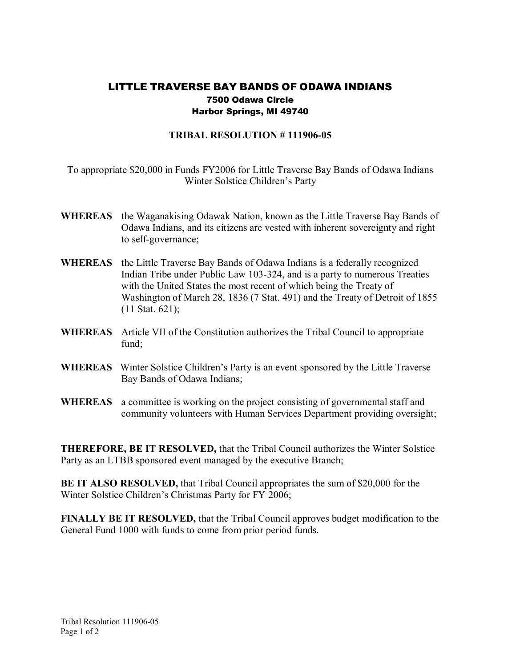## LITTLE TRAVERSE BAY BANDS OF ODAWA INDIANS 7500 Odawa Circle Harbor Springs, MI 49740

## **TRIBAL RESOLUTION #111906-05**

To appropriate \$20,000 in Funds FY2006 for Little Traverse Bay Bands of Odawa Indians Winter Solstice Children's Party

- **WHEREAS** the Waganakising Odawak Nation, known as the Little Traverse Bay Bands of Odawa Indians, and its citizens are vested with inherent sovereignty and right to self-governance;
- **WHEREAS** the Little Traverse Bay Bands of Odawa Indians is a federally recognized Indian Tribe under Public Law 103-324, and is a party to numerous Treaties with the United States the most recent of which being the Treaty of Washington of March 28, 1836 (7 Stat. 491) and the Treaty of Detroit of 1855 (11 Stat. 621);
- **WHEREAS** Article VII of the Constitution authorizes the Tribal Council to appropriate  $find·$
- **WHEREAS** Winter Solstice Children's Party is an event sponsored by the Little Traverse Bay Bands of Odawa Indians;
- **WHEREAS** a committee is working on the project consisting of governmental staff and community volunteers with Human Services Department providing oversight;

**THEREFORE, BE IT RESOLVED,** that the Tribal Council authorizes the Winter Solstice Party as an LTBB sponsored event managed by the executive Branch;

**BE IT ALSO RESOLVED,** that Tribal Council appropriates the sum of \$20,000 for the Winter Solstice Children's Christmas Party for FY 2006;

**FINALLY BE IT RESOLVED,** that the Tribal Council approves budget modification to the General Fund 1000 with funds to come from prior period funds.